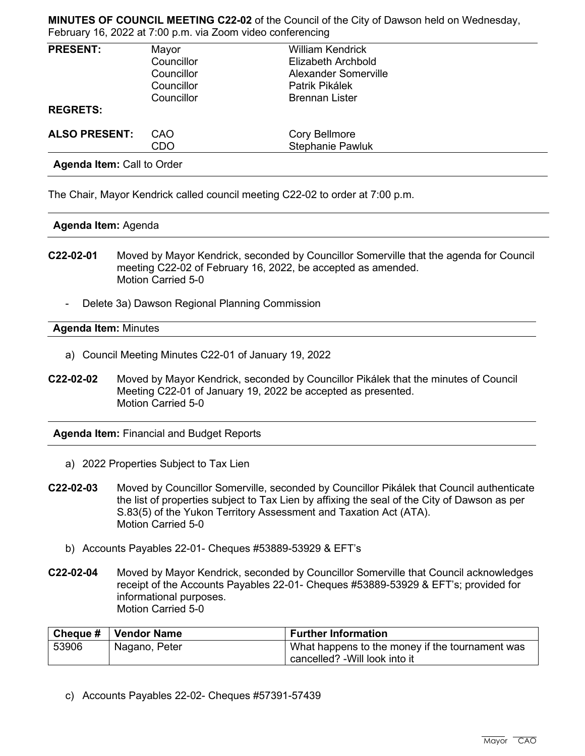**MINUTES OF COUNCIL MEETING C22-02** of the Council of the City of Dawson held on Wednesday, February 16, 2022 at 7:00 p.m. via Zoom video conferencing

| <b>PRESENT:</b>      | Mayor      | <b>William Kendrick</b> |  |
|----------------------|------------|-------------------------|--|
|                      | Councillor | Elizabeth Archbold      |  |
|                      | Councillor | Alexander Somerville    |  |
|                      | Councillor | Patrik Pikálek          |  |
|                      | Councillor | <b>Brennan Lister</b>   |  |
| <b>REGRETS:</b>      |            |                         |  |
| <b>ALSO PRESENT:</b> | CAO        | <b>Cory Bellmore</b>    |  |
|                      | CDO        | <b>Stephanie Pawluk</b> |  |

**Agenda Item:** Call to Order

The Chair, Mayor Kendrick called council meeting C22-02 to order at 7:00 p.m.

### **Agenda Item:** Agenda

- **C22-02-01** Moved by Mayor Kendrick, seconded by Councillor Somerville that the agenda for Council meeting C22-02 of February 16, 2022, be accepted as amended. Motion Carried 5-0
	- Delete 3a) Dawson Regional Planning Commission

### **Agenda Item:** Minutes

- a) Council Meeting Minutes C22-01 of January 19, 2022
- **C22-02-02** Moved by Mayor Kendrick, seconded by Councillor Pikálek that the minutes of Council Meeting C22-01 of January 19, 2022 be accepted as presented. Motion Carried 5-0

**Agenda Item:** Financial and Budget Reports

- a) 2022 Properties Subject to Tax Lien
- **C22-02-03** Moved by Councillor Somerville, seconded by Councillor Pikálek that Council authenticate the list of properties subject to Tax Lien by affixing the seal of the City of Dawson as per S.83(5) of the Yukon Territory Assessment and Taxation Act (ATA). Motion Carried 5-0
	- b) Accounts Payables 22-01- Cheques #53889-53929 & EFT's
- **C22-02-04** Moved by Mayor Kendrick, seconded by Councillor Somerville that Council acknowledges receipt of the Accounts Payables 22-01- Cheques #53889-53929 & EFT's; provided for informational purposes. Motion Carried 5-0

|       | ' Cheque #   Vendor Name | <b>Further Information</b>                      |
|-------|--------------------------|-------------------------------------------------|
| 53906 | Nagano, Peter            | What happens to the money if the tournament was |
|       |                          | cancelled? - Will look into it                  |

c) Accounts Payables 22-02- Cheques #57391-57439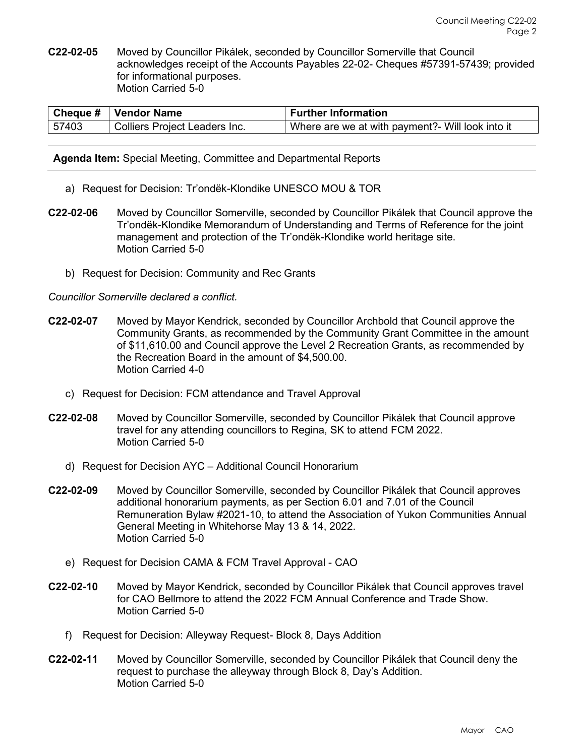**C22-02-05** Moved by Councillor Pikálek, seconded by Councillor Somerville that Council acknowledges receipt of the Accounts Payables 22-02- Cheques #57391-57439; provided for informational purposes. Motion Carried 5-0

|       | <b>Cheque #   Vendor Name</b> | <b>Further Information</b>                       |
|-------|-------------------------------|--------------------------------------------------|
| 57403 | Colliers Project Leaders Inc. | Where are we at with payment?- Will look into it |

**Agenda Item:** Special Meeting, Committee and Departmental Reports

- a) Request for Decision: Tr'ondëk-Klondike UNESCO MOU & TOR
- **C22-02-06** Moved by Councillor Somerville, seconded by Councillor Pikálek that Council approve the Tr'ondëk-Klondike Memorandum of Understanding and Terms of Reference for the joint management and protection of the Tr'ondëk-Klondike world heritage site. Motion Carried 5-0
	- b) Request for Decision: Community and Rec Grants

# *Councillor Somerville declared a conflict.*

- **C22-02-07** Moved by Mayor Kendrick, seconded by Councillor Archbold that Council approve the Community Grants, as recommended by the Community Grant Committee in the amount of \$11,610.00 and Council approve the Level 2 Recreation Grants, as recommended by the Recreation Board in the amount of \$4,500.00. Motion Carried 4-0
	- c) Request for Decision: FCM attendance and Travel Approval
- **C22-02-08** Moved by Councillor Somerville, seconded by Councillor Pikálek that Council approve travel for any attending councillors to Regina, SK to attend FCM 2022. Motion Carried 5-0
	- d) Request for Decision AYC Additional Council Honorarium
- **C22-02-09** Moved by Councillor Somerville, seconded by Councillor Pikálek that Council approves additional honorarium payments, as per Section 6.01 and 7.01 of the Council Remuneration Bylaw #2021-10, to attend the Association of Yukon Communities Annual General Meeting in Whitehorse May 13 & 14, 2022. Motion Carried 5-0
	- e) Request for Decision CAMA & FCM Travel Approval CAO
- **C22-02-10** Moved by Mayor Kendrick, seconded by Councillor Pikálek that Council approves travel for CAO Bellmore to attend the 2022 FCM Annual Conference and Trade Show. Motion Carried 5-0
	- f) Request for Decision: Alleyway Request- Block 8, Days Addition
- **C22-02-11** Moved by Councillor Somerville, seconded by Councillor Pikálek that Council deny the request to purchase the alleyway through Block 8, Day's Addition. Motion Carried 5-0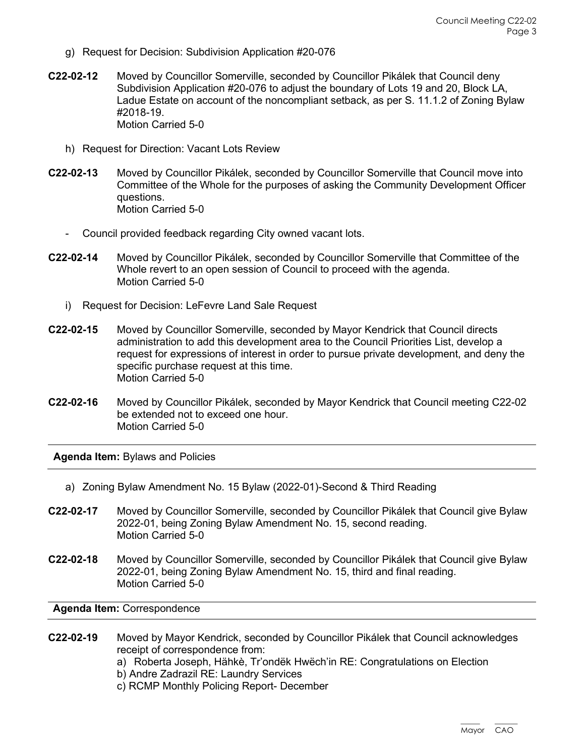- g) Request for Decision: Subdivision Application #20-076
- **C22-02-12** Moved by Councillor Somerville, seconded by Councillor Pikálek that Council deny Subdivision Application #20-076 to adjust the boundary of Lots 19 and 20, Block LA, Ladue Estate on account of the noncompliant setback, as per S. 11.1.2 of Zoning Bylaw #2018-19. Motion Carried 5-0
	- h) Request for Direction: Vacant Lots Review
- **C22-02-13** Moved by Councillor Pikálek, seconded by Councillor Somerville that Council move into Committee of the Whole for the purposes of asking the Community Development Officer questions. Motion Carried 5-0
	- Council provided feedback regarding City owned vacant lots.
- **C22-02-14** Moved by Councillor Pikálek, seconded by Councillor Somerville that Committee of the Whole revert to an open session of Council to proceed with the agenda. Motion Carried 5-0
	- i) Request for Decision: LeFevre Land Sale Request
- **C22-02-15** Moved by Councillor Somerville, seconded by Mayor Kendrick that Council directs administration to add this development area to the Council Priorities List, develop a request for expressions of interest in order to pursue private development, and deny the specific purchase request at this time. Motion Carried 5-0
- **C22-02-16** Moved by Councillor Pikálek, seconded by Mayor Kendrick that Council meeting C22-02 be extended not to exceed one hour. Motion Carried 5-0

**Agenda Item:** Bylaws and Policies

- a) Zoning Bylaw Amendment No. 15 Bylaw (2022-01)-Second & Third Reading
- **C22-02-17** Moved by Councillor Somerville, seconded by Councillor Pikálek that Council give Bylaw 2022-01, being Zoning Bylaw Amendment No. 15, second reading. Motion Carried 5-0
- **C22-02-18** Moved by Councillor Somerville, seconded by Councillor Pikálek that Council give Bylaw 2022-01, being Zoning Bylaw Amendment No. 15, third and final reading. Motion Carried 5-0

**Agenda Item:** Correspondence

- **C22-02-19** Moved by Mayor Kendrick, seconded by Councillor Pikálek that Council acknowledges receipt of correspondence from:
	- a) Roberta Joseph, Hähkè, Tr'ondëk Hwëch'in RE: Congratulations on Election
	- b) Andre Zadrazil RE: Laundry Services
	- c) RCMP Monthly Policing Report- December